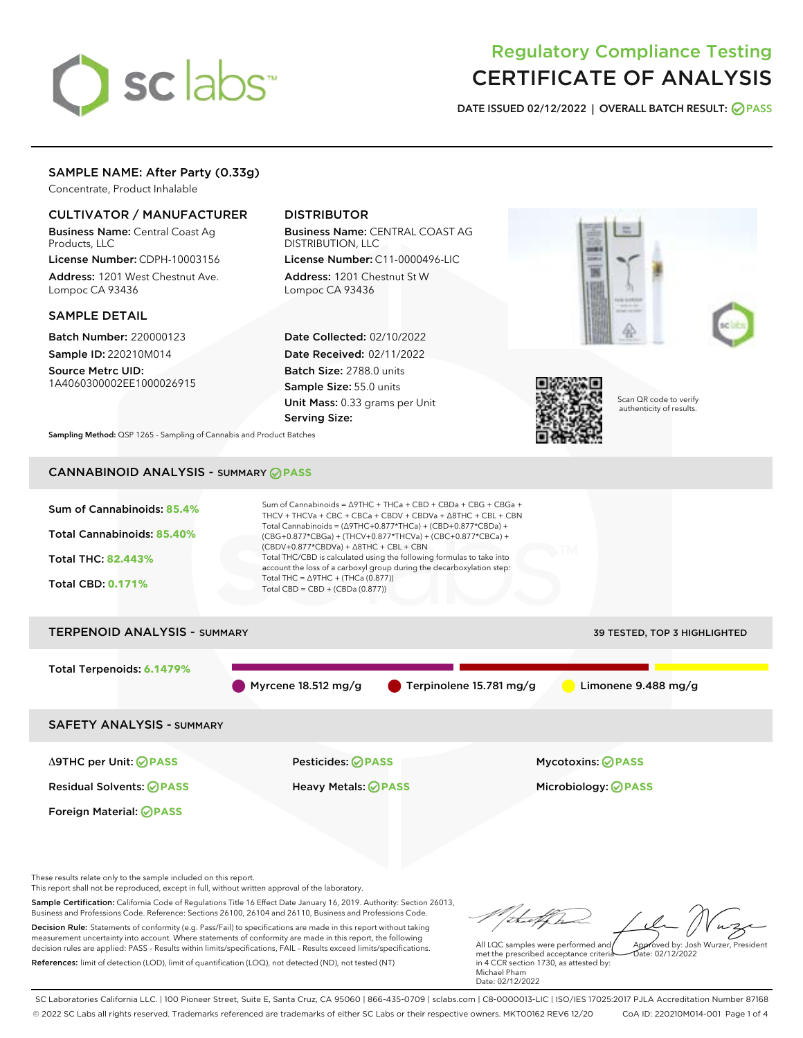# sclabs<sup>\*</sup>

# Regulatory Compliance Testing CERTIFICATE OF ANALYSIS

DATE ISSUED 02/12/2022 | OVERALL BATCH RESULT: @ PASS

# SAMPLE NAME: After Party (0.33g)

Concentrate, Product Inhalable

# CULTIVATOR / MANUFACTURER

Business Name: Central Coast Ag Products, LLC

License Number: CDPH-10003156 Address: 1201 West Chestnut Ave. Lompoc CA 93436

#### SAMPLE DETAIL

Batch Number: 220000123 Sample ID: 220210M014

Source Metrc UID: 1A4060300002EE1000026915

# DISTRIBUTOR

Business Name: CENTRAL COAST AG DISTRIBUTION, LLC

License Number: C11-0000496-LIC Address: 1201 Chestnut St W Lompoc CA 93436

Date Collected: 02/10/2022 Date Received: 02/11/2022 Batch Size: 2788.0 units Sample Size: 55.0 units Unit Mass: 0.33 grams per Unit Serving Size:





Scan QR code to verify authenticity of results.

Sampling Method: QSP 1265 - Sampling of Cannabis and Product Batches

# CANNABINOID ANALYSIS - SUMMARY **PASS**



Decision Rule: Statements of conformity (e.g. Pass/Fail) to specifications are made in this report without taking measurement uncertainty into account. Where statements of conformity are made in this report, the following decision rules are applied: PASS – Results within limits/specifications, FAIL – Results exceed limits/specifications. References: limit of detection (LOD), limit of quantification (LOQ), not detected (ND), not tested (NT)

All LQC samples were performed and met the prescribed acceptance criteria in 4 CCR section 1730, as attested by: Michael Pham Date: 02/12/2022 Approved by: Josh Wurzer, President  $\frac{1}{2}$ ate: 02/12/2022

SC Laboratories California LLC. | 100 Pioneer Street, Suite E, Santa Cruz, CA 95060 | 866-435-0709 | sclabs.com | C8-0000013-LIC | ISO/IES 17025:2017 PJLA Accreditation Number 87168 © 2022 SC Labs all rights reserved. Trademarks referenced are trademarks of either SC Labs or their respective owners. MKT00162 REV6 12/20 CoA ID: 220210M014-001 Page 1 of 4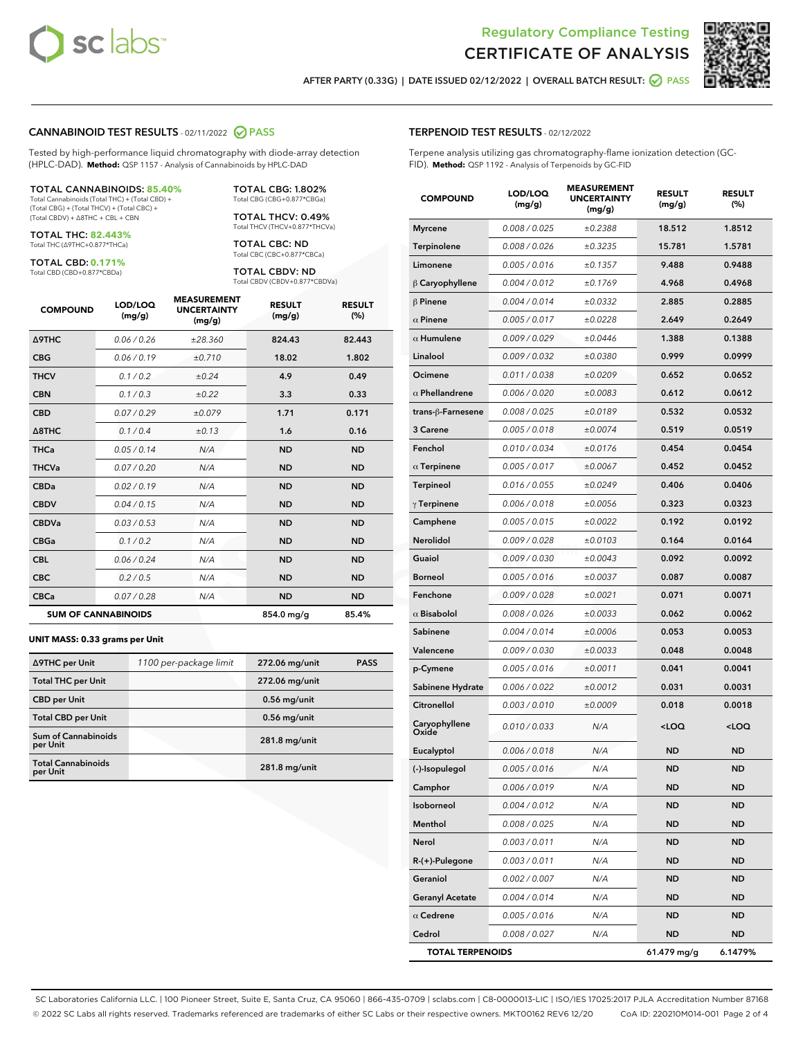



AFTER PARTY (0.33G) | DATE ISSUED 02/12/2022 | OVERALL BATCH RESULT: @ PASS

#### CANNABINOID TEST RESULTS - 02/11/2022 2 PASS

Tested by high-performance liquid chromatography with diode-array detection (HPLC-DAD). **Method:** QSP 1157 - Analysis of Cannabinoids by HPLC-DAD

#### TOTAL CANNABINOIDS: **85.40%**

Total Cannabinoids (Total THC) + (Total CBD) + (Total CBG) + (Total THCV) + (Total CBC) + (Total CBDV) + ∆8THC + CBL + CBN

TOTAL THC: **82.443%** Total THC (∆9THC+0.877\*THCa)

TOTAL CBD: **0.171%**

Total CBD (CBD+0.877\*CBDa)

TOTAL CBG: 1.802% Total CBG (CBG+0.877\*CBGa)

TOTAL THCV: 0.49% Total THCV (THCV+0.877\*THCVa)

TOTAL CBC: ND Total CBC (CBC+0.877\*CBCa)

TOTAL CBDV: ND Total CBDV (CBDV+0.877\*CBDVa)

| <b>COMPOUND</b>  | LOD/LOQ<br>(mg/g)          | <b>MEASUREMENT</b><br><b>UNCERTAINTY</b><br>(mg/g) | <b>RESULT</b><br>(mg/g) | <b>RESULT</b><br>(%) |
|------------------|----------------------------|----------------------------------------------------|-------------------------|----------------------|
| <b>A9THC</b>     | 0.06/0.26                  | ±28.360                                            | 824.43                  | 82.443               |
| <b>CBG</b>       | 0.06/0.19                  | ±0.710                                             | 18.02                   | 1.802                |
| <b>THCV</b>      | 0.1 / 0.2                  | ±0.24                                              | 4.9                     | 0.49                 |
| <b>CBN</b>       | 0.1/0.3                    | ±0.22                                              | 3.3                     | 0.33                 |
| <b>CBD</b>       | 0.07/0.29                  | ±0.079                                             | 1.71                    | 0.171                |
| $\triangle$ 8THC | 0.1/0.4                    | ±0.13                                              | 1.6                     | 0.16                 |
| <b>THCa</b>      | 0.05/0.14                  | N/A                                                | <b>ND</b>               | <b>ND</b>            |
| <b>THCVa</b>     | 0.07/0.20                  | N/A                                                | <b>ND</b>               | <b>ND</b>            |
| <b>CBDa</b>      | 0.02/0.19                  | N/A                                                | <b>ND</b>               | <b>ND</b>            |
| <b>CBDV</b>      | 0.04/0.15                  | N/A                                                | <b>ND</b>               | <b>ND</b>            |
| <b>CBDVa</b>     | 0.03/0.53                  | N/A                                                | <b>ND</b>               | <b>ND</b>            |
| <b>CBGa</b>      | 0.1/0.2                    | N/A                                                | <b>ND</b>               | <b>ND</b>            |
| <b>CBL</b>       | 0.06 / 0.24                | N/A                                                | <b>ND</b>               | <b>ND</b>            |
| <b>CBC</b>       | 0.2 / 0.5                  | N/A                                                | <b>ND</b>               | <b>ND</b>            |
| <b>CBCa</b>      | 0.07/0.28                  | N/A                                                | <b>ND</b>               | <b>ND</b>            |
|                  | <b>SUM OF CANNABINOIDS</b> |                                                    | 854.0 mg/g              | 85.4%                |

#### **UNIT MASS: 0.33 grams per Unit**

| ∆9THC per Unit                         | 1100 per-package limit | 272.06 mg/unit | <b>PASS</b> |
|----------------------------------------|------------------------|----------------|-------------|
| <b>Total THC per Unit</b>              |                        | 272.06 mg/unit |             |
| <b>CBD per Unit</b>                    |                        | $0.56$ mg/unit |             |
| <b>Total CBD per Unit</b>              |                        | $0.56$ mg/unit |             |
| <b>Sum of Cannabinoids</b><br>per Unit |                        | 281.8 mg/unit  |             |
| <b>Total Cannabinoids</b><br>per Unit  |                        | 281.8 mg/unit  |             |

| <b>COMPOUND</b>         | LOD/LOQ<br>(mg/g) | ASUREIVI<br><b>UNCERTAINTY</b><br>(mg/g) | <b>RESULT</b><br>(mg/g)                         | <b>RESULT</b><br>$(\%)$ |
|-------------------------|-------------------|------------------------------------------|-------------------------------------------------|-------------------------|
| <b>Myrcene</b>          | 0.008 / 0.025     | ±0.2388                                  | 18.512                                          | 1.8512                  |
| Terpinolene             | 0.008 / 0.026     | ±0.3235                                  | 15.781                                          | 1.5781                  |
| Limonene                | 0.005 / 0.016     | ±0.1357                                  | 9.488                                           | 0.9488                  |
| $\beta$ Caryophyllene   | 0.004 / 0.012     | ±0.1769                                  | 4.968                                           | 0.4968                  |
| $\beta$ Pinene          | 0.004 / 0.014     | ±0.0332                                  | 2.885                                           | 0.2885                  |
| $\alpha$ Pinene         | 0.005 / 0.017     | ±0.0228                                  | 2.649                                           | 0.2649                  |
| $\alpha$ Humulene       | 0.009 / 0.029     | ±0.0446                                  | 1.388                                           | 0.1388                  |
| Linalool                | 0.009 / 0.032     | ±0.0380                                  | 0.999                                           | 0.0999                  |
| Ocimene                 | 0.011 / 0.038     | ±0.0209                                  | 0.652                                           | 0.0652                  |
| $\alpha$ Phellandrene   | 0.006 / 0.020     | ±0.0083                                  | 0.612                                           | 0.0612                  |
| trans-ß-Farnesene       | 0.008 / 0.025     | ±0.0189                                  | 0.532                                           | 0.0532                  |
| 3 Carene                | 0.005 / 0.018     | ±0.0074                                  | 0.519                                           | 0.0519                  |
| Fenchol                 | 0.010 / 0.034     | ±0.0176                                  | 0.454                                           | 0.0454                  |
| $\alpha$ Terpinene      | 0.005 / 0.017     | ±0.0067                                  | 0.452                                           | 0.0452                  |
| Terpineol               | 0.016 / 0.055     | ±0.0249                                  | 0.406                                           | 0.0406                  |
| $\gamma$ Terpinene      | 0.006 / 0.018     | ±0.0056                                  | 0.323                                           | 0.0323                  |
| Camphene                | 0.005 / 0.015     | ±0.0022                                  | 0.192                                           | 0.0192                  |
| Nerolidol               | 0.009 / 0.028     | ±0.0103                                  | 0.164                                           | 0.0164                  |
| Guaiol                  | 0.009 / 0.030     | ±0.0043                                  | 0.092                                           | 0.0092                  |
| Borneol                 | 0.005 / 0.016     | ±0.0037                                  | 0.087                                           | 0.0087                  |
| Fenchone                | 0.009 / 0.028     | ±0.0021                                  | 0.071                                           | 0.0071                  |
| $\alpha$ Bisabolol      | 0.008 / 0.026     | ±0.0033                                  | 0.062                                           | 0.0062                  |
| Sabinene                | 0.004 / 0.014     | ±0.0006                                  | 0.053                                           | 0.0053                  |
| Valencene               | 0.009 / 0.030     | ±0.0033                                  | 0.048                                           | 0.0048                  |
| p-Cymene                | 0.005 / 0.016     | ±0.0011                                  | 0.041                                           | 0.0041                  |
| Sabinene Hydrate        | 0.006 / 0.022     | ±0.0012                                  | 0.031                                           | 0.0031                  |
| Citronellol             | 0.003 / 0.010     | ±0.0009                                  | 0.018                                           | 0.0018                  |
| Caryophyllene<br>Oxide  | 0.010 / 0.033     | N/A                                      | <loq< th=""><th><loq< th=""></loq<></th></loq<> | <loq< th=""></loq<>     |
| Eucalyptol              | 0.006 / 0.018     | N/A                                      | <b>ND</b>                                       | <b>ND</b>               |
| (-)-Isopulegol          | 0.005 / 0.016     | N/A                                      | <b>ND</b>                                       | <b>ND</b>               |
| Camphor                 | 0.006 / 0.019     | N/A                                      | ND                                              | ND                      |
| Isoborneol              | 0.004 / 0.012     | N/A                                      | ND                                              | ND                      |
| Menthol                 | 0.008 / 0.025     | N/A                                      | <b>ND</b>                                       | ND                      |
| Nerol                   | 0.003 / 0.011     | N/A                                      | ND                                              | ND                      |
| R-(+)-Pulegone          | 0.003 / 0.011     | N/A                                      | ND                                              | ND                      |
| Geraniol                | 0.002 / 0.007     | N/A                                      | ND                                              | ND                      |
| <b>Geranyl Acetate</b>  | 0.004 / 0.014     | N/A                                      | ND                                              | ND                      |
| $\alpha$ Cedrene        | 0.005 / 0.016     | N/A                                      | ND                                              | ND                      |
| Cedrol                  | 0.008 / 0.027     | N/A                                      | ND                                              | ND                      |
| <b>TOTAL TERPENOIDS</b> |                   |                                          | 61.479 mg/g                                     | 6.1479%                 |

SC Laboratories California LLC. | 100 Pioneer Street, Suite E, Santa Cruz, CA 95060 | 866-435-0709 | sclabs.com | C8-0000013-LIC | ISO/IES 17025:2017 PJLA Accreditation Number 87168 © 2022 SC Labs all rights reserved. Trademarks referenced are trademarks of either SC Labs or their respective owners. MKT00162 REV6 12/20 CoA ID: 220210M014-001 Page 2 of 4

#### TERPENOID TEST RESULTS - 02/12/2022

Terpene analysis utilizing gas chromatography-flame ionization detection (GC-FID). **Method:** QSP 1192 - Analysis of Terpenoids by GC-FID

MEACUREMENT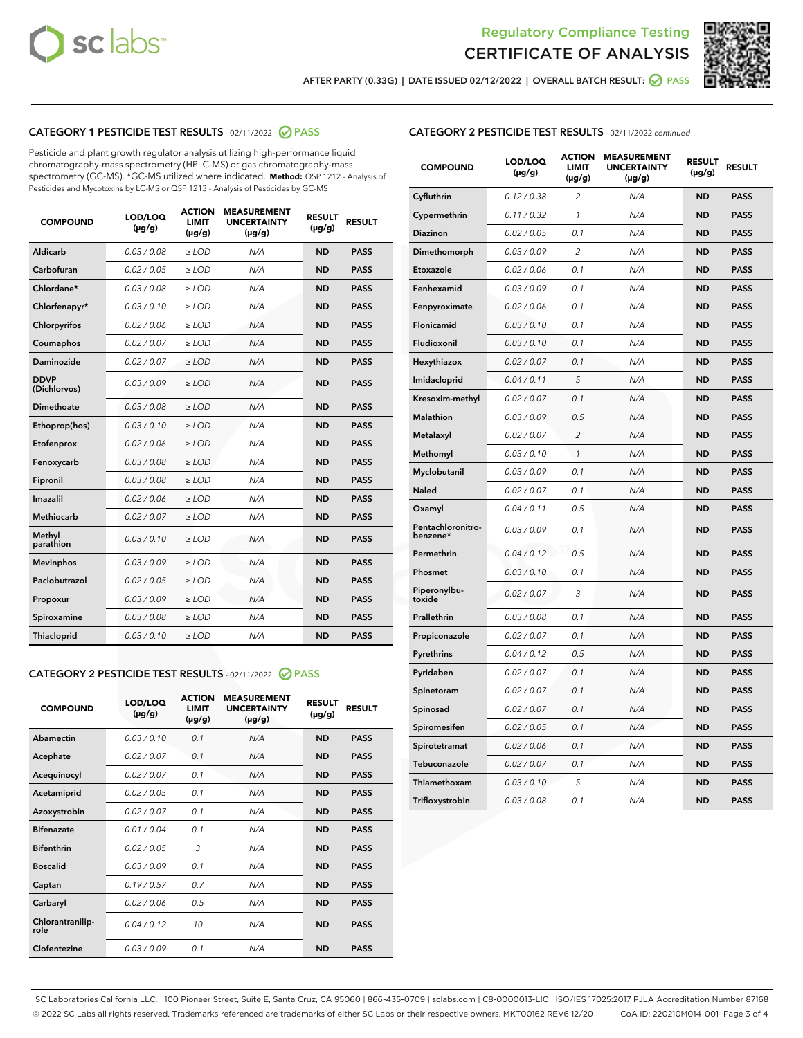



AFTER PARTY (0.33G) | DATE ISSUED 02/12/2022 | OVERALL BATCH RESULT: 2 PASS

### CATEGORY 1 PESTICIDE TEST RESULTS - 02/11/2022 2 PASS

Pesticide and plant growth regulator analysis utilizing high-performance liquid chromatography-mass spectrometry (HPLC-MS) or gas chromatography-mass spectrometry (GC-MS). \*GC-MS utilized where indicated. **Method:** QSP 1212 - Analysis of Pesticides and Mycotoxins by LC-MS or QSP 1213 - Analysis of Pesticides by GC-MS

| <b>COMPOUND</b>             | LOD/LOQ<br>$(\mu g/g)$ | <b>ACTION</b><br><b>LIMIT</b><br>$(\mu g/g)$ | <b>MEASUREMENT</b><br><b>UNCERTAINTY</b><br>$(\mu g/g)$ | <b>RESULT</b><br>$(\mu g/g)$ | <b>RESULT</b> |
|-----------------------------|------------------------|----------------------------------------------|---------------------------------------------------------|------------------------------|---------------|
| Aldicarb                    | 0.03 / 0.08            | $\geq$ LOD                                   | N/A                                                     | <b>ND</b>                    | <b>PASS</b>   |
| Carbofuran                  | 0.02/0.05              | $>$ LOD                                      | N/A                                                     | <b>ND</b>                    | <b>PASS</b>   |
| Chlordane*                  | 0.03 / 0.08            | $\ge$ LOD                                    | N/A                                                     | <b>ND</b>                    | <b>PASS</b>   |
| Chlorfenapyr*               | 0.03/0.10              | $>$ LOD                                      | N/A                                                     | <b>ND</b>                    | <b>PASS</b>   |
| Chlorpyrifos                | 0.02 / 0.06            | $\ge$ LOD                                    | N/A                                                     | <b>ND</b>                    | <b>PASS</b>   |
| Coumaphos                   | 0.02 / 0.07            | $\ge$ LOD                                    | N/A                                                     | <b>ND</b>                    | <b>PASS</b>   |
| Daminozide                  | 0.02 / 0.07            | $\ge$ LOD                                    | N/A                                                     | <b>ND</b>                    | <b>PASS</b>   |
| <b>DDVP</b><br>(Dichlorvos) | 0.03/0.09              | $\ge$ LOD                                    | N/A                                                     | <b>ND</b>                    | <b>PASS</b>   |
| Dimethoate                  | 0.03/0.08              | $>$ LOD                                      | N/A                                                     | <b>ND</b>                    | <b>PASS</b>   |
| Ethoprop(hos)               | 0.03/0.10              | $\ge$ LOD                                    | N/A                                                     | <b>ND</b>                    | <b>PASS</b>   |
| Etofenprox                  | 0.02 / 0.06            | $\ge$ LOD                                    | N/A                                                     | <b>ND</b>                    | <b>PASS</b>   |
| Fenoxycarb                  | 0.03/0.08              | $\ge$ LOD                                    | N/A                                                     | <b>ND</b>                    | <b>PASS</b>   |
| Fipronil                    | 0.03/0.08              | $>$ LOD                                      | N/A                                                     | <b>ND</b>                    | <b>PASS</b>   |
| Imazalil                    | 0.02 / 0.06            | $\ge$ LOD                                    | N/A                                                     | <b>ND</b>                    | <b>PASS</b>   |
| <b>Methiocarb</b>           | 0.02 / 0.07            | $\ge$ LOD                                    | N/A                                                     | <b>ND</b>                    | <b>PASS</b>   |
| Methyl<br>parathion         | 0.03/0.10              | $\ge$ LOD                                    | N/A                                                     | <b>ND</b>                    | <b>PASS</b>   |
| <b>Mevinphos</b>            | 0.03/0.09              | $>$ LOD                                      | N/A                                                     | <b>ND</b>                    | <b>PASS</b>   |
| Paclobutrazol               | 0.02 / 0.05            | $\ge$ LOD                                    | N/A                                                     | <b>ND</b>                    | <b>PASS</b>   |
| Propoxur                    | 0.03/0.09              | $\ge$ LOD                                    | N/A                                                     | <b>ND</b>                    | <b>PASS</b>   |
| Spiroxamine                 | 0.03 / 0.08            | $\ge$ LOD                                    | N/A                                                     | <b>ND</b>                    | <b>PASS</b>   |
| Thiacloprid                 | 0.03/0.10              | $\ge$ LOD                                    | N/A                                                     | <b>ND</b>                    | <b>PASS</b>   |

#### CATEGORY 2 PESTICIDE TEST RESULTS - 02/11/2022 2 PASS

| <b>COMPOUND</b>          | LOD/LOQ<br>$(\mu g/g)$ | <b>ACTION</b><br><b>LIMIT</b><br>$(\mu g/g)$ | <b>MEASUREMENT</b><br><b>UNCERTAINTY</b><br>$(\mu g/g)$ | <b>RESULT</b><br>$(\mu g/g)$ | <b>RESULT</b> |
|--------------------------|------------------------|----------------------------------------------|---------------------------------------------------------|------------------------------|---------------|
| Abamectin                | 0.03/0.10              | 0.1                                          | N/A                                                     | <b>ND</b>                    | <b>PASS</b>   |
| Acephate                 | 0.02/0.07              | 0.1                                          | N/A                                                     | <b>ND</b>                    | <b>PASS</b>   |
| Acequinocyl              | 0.02/0.07              | 0.1                                          | N/A                                                     | <b>ND</b>                    | <b>PASS</b>   |
| Acetamiprid              | 0.02/0.05              | 0.1                                          | N/A                                                     | <b>ND</b>                    | <b>PASS</b>   |
| Azoxystrobin             | 0.02/0.07              | 0.1                                          | N/A                                                     | <b>ND</b>                    | <b>PASS</b>   |
| <b>Bifenazate</b>        | 0.01/0.04              | 0.1                                          | N/A                                                     | <b>ND</b>                    | <b>PASS</b>   |
| <b>Bifenthrin</b>        | 0.02/0.05              | 3                                            | N/A                                                     | <b>ND</b>                    | <b>PASS</b>   |
| <b>Boscalid</b>          | 0.03/0.09              | 0.1                                          | N/A                                                     | <b>ND</b>                    | <b>PASS</b>   |
| Captan                   | 0.19/0.57              | 0.7                                          | N/A                                                     | <b>ND</b>                    | <b>PASS</b>   |
| Carbaryl                 | 0.02/0.06              | 0.5                                          | N/A                                                     | <b>ND</b>                    | <b>PASS</b>   |
| Chlorantranilip-<br>role | 0.04/0.12              | 10                                           | N/A                                                     | <b>ND</b>                    | <b>PASS</b>   |
| Clofentezine             | 0.03/0.09              | 0.1                                          | N/A                                                     | <b>ND</b>                    | <b>PASS</b>   |

#### CATEGORY 2 PESTICIDE TEST RESULTS - 02/11/2022 continued

| <b>COMPOUND</b>               | LOD/LOQ<br>(µg/g) | <b>ACTION</b><br>LIMIT<br>$(\mu g/g)$ | <b>MEASUREMENT</b><br><b>UNCERTAINTY</b><br>$(\mu g/g)$ | <b>RESULT</b><br>(µg/g) | <b>RESULT</b> |
|-------------------------------|-------------------|---------------------------------------|---------------------------------------------------------|-------------------------|---------------|
| Cyfluthrin                    | 0.12 / 0.38       | $\overline{\mathcal{L}}$              | N/A                                                     | <b>ND</b>               | <b>PASS</b>   |
| Cypermethrin                  | 0.11 / 0.32       | 1                                     | N/A                                                     | <b>ND</b>               | <b>PASS</b>   |
| Diazinon                      | 0.02 / 0.05       | 0.1                                   | N/A                                                     | <b>ND</b>               | <b>PASS</b>   |
| Dimethomorph                  | 0.03 / 0.09       | $\overline{2}$                        | N/A                                                     | <b>ND</b>               | <b>PASS</b>   |
| Etoxazole                     | 0.02 / 0.06       | 0.1                                   | N/A                                                     | <b>ND</b>               | <b>PASS</b>   |
| Fenhexamid                    | 0.03 / 0.09       | 0.1                                   | N/A                                                     | <b>ND</b>               | <b>PASS</b>   |
| Fenpyroximate                 | 0.02 / 0.06       | 0.1                                   | N/A                                                     | <b>ND</b>               | <b>PASS</b>   |
| Flonicamid                    | 0.03 / 0.10       | 0.1                                   | N/A                                                     | <b>ND</b>               | <b>PASS</b>   |
| Fludioxonil                   | 0.03 / 0.10       | 0.1                                   | N/A                                                     | <b>ND</b>               | <b>PASS</b>   |
| Hexythiazox                   | 0.02 / 0.07       | 0.1                                   | N/A                                                     | <b>ND</b>               | <b>PASS</b>   |
| Imidacloprid                  | 0.04 / 0.11       | 5                                     | N/A                                                     | <b>ND</b>               | <b>PASS</b>   |
| Kresoxim-methyl               | 0.02 / 0.07       | 0.1                                   | N/A                                                     | <b>ND</b>               | <b>PASS</b>   |
| <b>Malathion</b>              | 0.03 / 0.09       | 0.5                                   | N/A                                                     | <b>ND</b>               | <b>PASS</b>   |
| Metalaxyl                     | 0.02 / 0.07       | $\overline{2}$                        | N/A                                                     | <b>ND</b>               | <b>PASS</b>   |
| Methomyl                      | 0.03 / 0.10       | $\mathbf{1}$                          | N/A                                                     | <b>ND</b>               | <b>PASS</b>   |
| Myclobutanil                  | 0.03 / 0.09       | 0.1                                   | N/A                                                     | <b>ND</b>               | <b>PASS</b>   |
| <b>Naled</b>                  | 0.02 / 0.07       | 0.1                                   | N/A                                                     | ND                      | <b>PASS</b>   |
| Oxamyl                        | 0.04 / 0.11       | 0.5                                   | N/A                                                     | ND                      | <b>PASS</b>   |
| Pentachloronitro-<br>benzene* | 0.03 / 0.09       | 0.1                                   | N/A                                                     | ND                      | <b>PASS</b>   |
| Permethrin                    | 0.04/0.12         | 0.5                                   | N/A                                                     | ND                      | <b>PASS</b>   |
| Phosmet                       | 0.03 / 0.10       | 0.1                                   | N/A                                                     | <b>ND</b>               | <b>PASS</b>   |
| Piperonylbu-<br>toxide        | 0.02 / 0.07       | 3                                     | N/A                                                     | <b>ND</b>               | <b>PASS</b>   |
| Prallethrin                   | 0.03 / 0.08       | 0.1                                   | N/A                                                     | ND                      | <b>PASS</b>   |
| Propiconazole                 | 0.02 / 0.07       | 0.1                                   | N/A                                                     | <b>ND</b>               | <b>PASS</b>   |
| Pyrethrins                    | 0.04 / 0.12       | 0.5                                   | N/A                                                     | <b>ND</b>               | <b>PASS</b>   |
| Pyridaben                     | 0.02 / 0.07       | 0.1                                   | N/A                                                     | ND                      | <b>PASS</b>   |
| Spinetoram                    | 0.02 / 0.07       | 0.1                                   | N/A                                                     | <b>ND</b>               | <b>PASS</b>   |
| Spinosad                      | 0.02 / 0.07       | 0.1                                   | N/A                                                     | <b>ND</b>               | <b>PASS</b>   |
| Spiromesifen                  | 0.02 / 0.05       | 0.1                                   | N/A                                                     | ND                      | <b>PASS</b>   |
| Spirotetramat                 | 0.02 / 0.06       | 0.1                                   | N/A                                                     | <b>ND</b>               | <b>PASS</b>   |
| Tebuconazole                  | 0.02 / 0.07       | 0.1                                   | N/A                                                     | <b>ND</b>               | <b>PASS</b>   |
| Thiamethoxam                  | 0.03 / 0.10       | 5                                     | N/A                                                     | ND                      | <b>PASS</b>   |
| Trifloxystrobin               | 0.03 / 0.08       | 0.1                                   | N/A                                                     | <b>ND</b>               | <b>PASS</b>   |

SC Laboratories California LLC. | 100 Pioneer Street, Suite E, Santa Cruz, CA 95060 | 866-435-0709 | sclabs.com | C8-0000013-LIC | ISO/IES 17025:2017 PJLA Accreditation Number 87168 © 2022 SC Labs all rights reserved. Trademarks referenced are trademarks of either SC Labs or their respective owners. MKT00162 REV6 12/20 CoA ID: 220210M014-001 Page 3 of 4